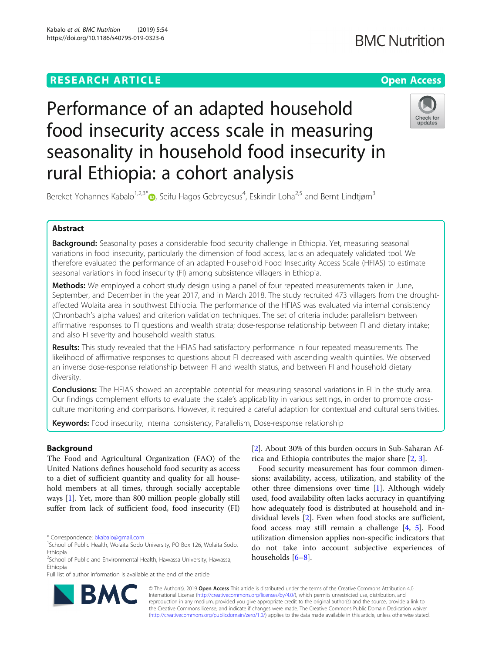# **RESEARCH ARTICLE Example 2014 12:30 The Contract of Contract ACCESS**

# Performance of an adapted household food insecurity access scale in measuring seasonality in household food insecurity in rural Ethiopia: a cohort analysis



Bereket Yohannes Kabalo<sup>1,2,3[\\*](http://orcid.org/0000-0002-2646-6883)</sup>®, Seifu Hagos Gebreyesus<sup>4</sup>, Eskindir Loha<sup>2,5</sup> and Bernt Lindtjørn<sup>3</sup>

# Abstract

**Background:** Seasonality poses a considerable food security challenge in Ethiopia. Yet, measuring seasonal variations in food insecurity, particularly the dimension of food access, lacks an adequately validated tool. We therefore evaluated the performance of an adapted Household Food Insecurity Access Scale (HFIAS) to estimate seasonal variations in food insecurity (FI) among subsistence villagers in Ethiopia.

Methods: We employed a cohort study design using a panel of four repeated measurements taken in June, September, and December in the year 2017, and in March 2018. The study recruited 473 villagers from the droughtaffected Wolaita area in southwest Ethiopia. The performance of the HFIAS was evaluated via internal consistency (Chronbach's alpha values) and criterion validation techniques. The set of criteria include: parallelism between affirmative responses to FI questions and wealth strata; dose-response relationship between FI and dietary intake; and also FI severity and household wealth status.

Results: This study revealed that the HFIAS had satisfactory performance in four repeated measurements. The likelihood of affirmative responses to questions about FI decreased with ascending wealth quintiles. We observed an inverse dose-response relationship between FI and wealth status, and between FI and household dietary diversity.

**Conclusions:** The HFIAS showed an acceptable potential for measuring seasonal variations in FI in the study area. Our findings complement efforts to evaluate the scale's applicability in various settings, in order to promote crossculture monitoring and comparisons. However, it required a careful adaption for contextual and cultural sensitivities.

Keywords: Food insecurity, Internal consistency, Parallelism, Dose-response relationship

# Background

The Food and Agricultural Organization (FAO) of the United Nations defines household food security as access to a diet of sufficient quantity and quality for all household members at all times, through socially acceptable ways [\[1](#page-8-0)]. Yet, more than 800 million people globally still suffer from lack of sufficient food, food insecurity (FI)

[[2\]](#page-8-0). About 30% of this burden occurs in Sub-Saharan Africa and Ethiopia contributes the major share [[2,](#page-8-0) [3\]](#page-8-0).

Food security measurement has four common dimensions: availability, access, utilization, and stability of the other three dimensions over time [\[1](#page-8-0)]. Although widely used, food availability often lacks accuracy in quantifying how adequately food is distributed at household and individual levels [[2\]](#page-8-0). Even when food stocks are sufficient, food access may still remain a challenge [\[4](#page-8-0), [5\]](#page-9-0). Food utilization dimension applies non-specific indicators that do not take into account subjective experiences of households [[6](#page-9-0)–[8](#page-9-0)].



© The Author(s). 2019 **Open Access** This article is distributed under the terms of the Creative Commons Attribution 4.0 International License [\(http://creativecommons.org/licenses/by/4.0/](http://creativecommons.org/licenses/by/4.0/)), which permits unrestricted use, distribution, and reproduction in any medium, provided you give appropriate credit to the original author(s) and the source, provide a link to the Creative Commons license, and indicate if changes were made. The Creative Commons Public Domain Dedication waiver [\(http://creativecommons.org/publicdomain/zero/1.0/](http://creativecommons.org/publicdomain/zero/1.0/)) applies to the data made available in this article, unless otherwise stated.

<sup>\*</sup> Correspondence: [bkabalo@gmail.com](mailto:bkabalo@gmail.com) <sup>1</sup>

<sup>&</sup>lt;sup>1</sup>School of Public Health, Wolaita Sodo University, PO Box 126, Wolaita Sodo, Ethiopia

<sup>&</sup>lt;sup>2</sup>School of Public and Environmental Health, Hawassa University, Hawassa, Ethiopia

Full list of author information is available at the end of the article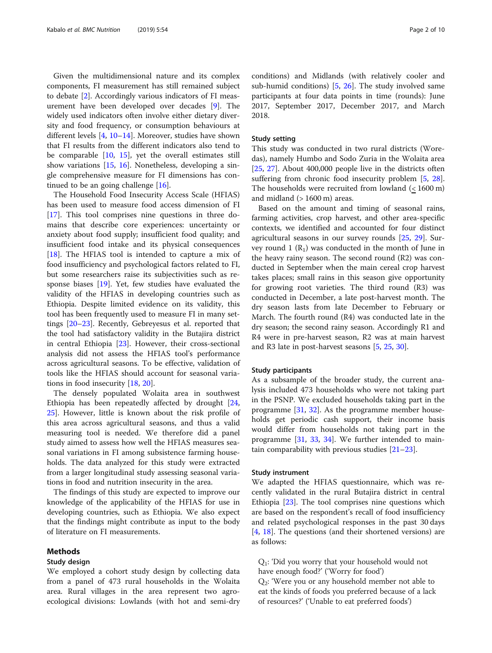Given the multidimensional nature and its complex components, FI measurement has still remained subject to debate [\[2](#page-8-0)]. Accordingly various indicators of FI measurement have been developed over decades [\[9](#page-9-0)]. The widely used indicators often involve either dietary diversity and food frequency, or consumption behaviours at different levels [[4](#page-8-0), [10](#page-9-0)–[14](#page-9-0)]. Moreover, studies have shown that FI results from the different indicators also tend to be comparable [\[10](#page-9-0), [15](#page-9-0)], yet the overall estimates still show variations [\[15](#page-9-0), [16\]](#page-9-0). Nonetheless, developing a single comprehensive measure for FI dimensions has continued to be an going challenge  $[16]$  $[16]$ .

The Household Food Insecurity Access Scale (HFIAS) has been used to measure food access dimension of FI [[17\]](#page-9-0). This tool comprises nine questions in three domains that describe core experiences: uncertainty or anxiety about food supply; insufficient food quality; and insufficient food intake and its physical consequences [[18\]](#page-9-0). The HFIAS tool is intended to capture a mix of food insufficiency and psychological factors related to FI, but some researchers raise its subjectivities such as response biases [[19](#page-9-0)]. Yet, few studies have evaluated the validity of the HFIAS in developing countries such as Ethiopia. Despite limited evidence on its validity, this tool has been frequently used to measure FI in many settings [[20](#page-9-0)–[23](#page-9-0)]. Recently, Gebreyesus et al. reported that the tool had satisfactory validity in the Butajira district in central Ethiopia [[23](#page-9-0)]. However, their cross-sectional analysis did not assess the HFIAS tool's performance across agricultural seasons. To be effective, validation of tools like the HFIAS should account for seasonal variations in food insecurity [[18](#page-9-0), [20](#page-9-0)].

The densely populated Wolaita area in southwest Ethiopia has been repeatedly affected by drought [[24](#page-9-0), [25\]](#page-9-0). However, little is known about the risk profile of this area across agricultural seasons, and thus a valid measuring tool is needed. We therefore did a panel study aimed to assess how well the HFIAS measures seasonal variations in FI among subsistence farming households. The data analyzed for this study were extracted from a larger longitudinal study assessing seasonal variations in food and nutrition insecurity in the area.

The findings of this study are expected to improve our knowledge of the applicability of the HFIAS for use in developing countries, such as Ethiopia. We also expect that the findings might contribute as input to the body of literature on FI measurements.

# Methods

# Study design

We employed a cohort study design by collecting data from a panel of 473 rural households in the Wolaita area. Rural villages in the area represent two agroecological divisions: Lowlands (with hot and semi-dry conditions) and Midlands (with relatively cooler and sub-humid conditions) [\[5](#page-9-0), [26\]](#page-9-0). The study involved same participants at four data points in time (rounds): June 2017, September 2017, December 2017, and March 2018.

#### Study setting

This study was conducted in two rural districts (Woredas), namely Humbo and Sodo Zuria in the Wolaita area [[25,](#page-9-0) [27](#page-9-0)]. About 400,000 people live in the districts often suffering from chronic food insecurity problem [\[5](#page-9-0), [28](#page-9-0)]. The households were recruited from lowland (< 1600 m) and midland  $($  > 1600 m) areas.

Based on the amount and timing of seasonal rains, farming activities, crop harvest, and other area-specific contexts, we identified and accounted for four distinct agricultural seasons in our survey rounds [[25,](#page-9-0) [29\]](#page-9-0). Survey round 1  $(R_1)$  was conducted in the month of June in the heavy rainy season. The second round (R2) was conducted in September when the main cereal crop harvest takes places; small rains in this season give opportunity for growing root varieties. The third round (R3) was conducted in December, a late post-harvest month. The dry season lasts from late December to February or March. The fourth round (R4) was conducted late in the dry season; the second rainy season. Accordingly R1 and R4 were in pre-harvest season, R2 was at main harvest and R3 late in post-harvest seasons [[5,](#page-9-0) [25,](#page-9-0) [30](#page-9-0)].

#### Study participants

As a subsample of the broader study, the current analysis included 473 households who were not taking part in the PSNP. We excluded households taking part in the programme [[31,](#page-9-0) [32\]](#page-9-0). As the programme member households get periodic cash support, their income basis would differ from households not taking part in the programme  $[31, 33, 34]$  $[31, 33, 34]$  $[31, 33, 34]$  $[31, 33, 34]$  $[31, 33, 34]$  $[31, 33, 34]$ . We further intended to maintain comparability with previous studies [[21](#page-9-0)–[23](#page-9-0)].

### Study instrument

We adapted the HFIAS questionnaire, which was recently validated in the rural Butajira district in central Ethiopia [[23](#page-9-0)]. The tool comprises nine questions which are based on the respondent's recall of food insufficiency and related psychological responses in the past 30 days  $[4, 18]$  $[4, 18]$  $[4, 18]$  $[4, 18]$  $[4, 18]$ . The questions (and their shortened versions) are as follows:

Q1: 'Did you worry that your household would not have enough food?' ('Worry for food')  $Q_2$ : 'Were you or any household member not able to eat the kinds of foods you preferred because of a lack of resources?' ('Unable to eat preferred foods')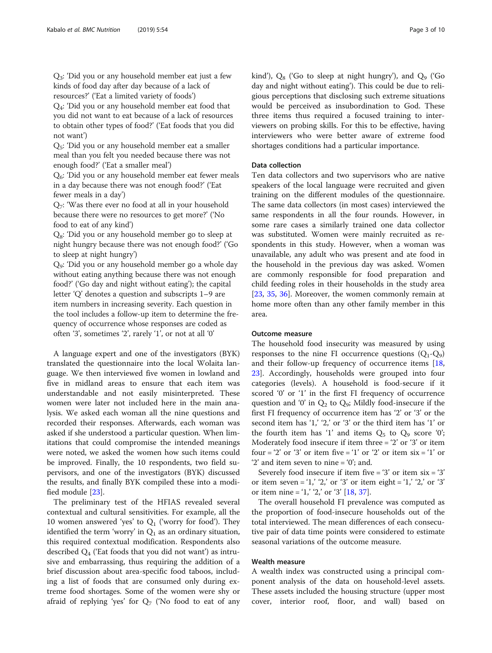Q3: 'Did you or any household member eat just a few kinds of food day after day because of a lack of resources?' ('Eat a limited variety of foods')

 $Q_4$ : 'Did you or any household member eat food that you did not want to eat because of a lack of resources to obtain other types of food?' ('Eat foods that you did not want')

 $Q<sub>5</sub>$ : 'Did you or any household member eat a smaller meal than you felt you needed because there was not enough food?' ('Eat a smaller meal')

Q6: 'Did you or any household member eat fewer meals in a day because there was not enough food?' ('Eat fewer meals in a day')

 $Q_7$ : 'Was there ever no food at all in your household because there were no resources to get more?' ('No food to eat of any kind')

 $Q_8$ : 'Did you or any household member go to sleep at night hungry because there was not enough food?' ('Go to sleep at night hungry')

Q9: 'Did you or any household member go a whole day without eating anything because there was not enough food?' ('Go day and night without eating'); the capital letter 'Q' denotes a question and subscripts 1–9 are item numbers in increasing severity. Each question in the tool includes a follow-up item to determine the frequency of occurrence whose responses are coded as often '3', sometimes '2', rarely '1', or not at all '0'

A language expert and one of the investigators (BYK) translated the questionnaire into the local Wolaita language. We then interviewed five women in lowland and five in midland areas to ensure that each item was understandable and not easily misinterpreted. These women were later not included here in the main analysis. We asked each woman all the nine questions and recorded their responses. Afterwards, each woman was asked if she understood a particular question. When limitations that could compromise the intended meanings were noted, we asked the women how such items could be improved. Finally, the 10 respondents, two field supervisors, and one of the investigators (BYK) discussed the results, and finally BYK compiled these into a modified module [[23](#page-9-0)].

The preliminary test of the HFIAS revealed several contextual and cultural sensitivities. For example, all the 10 women answered 'yes' to  $Q_1$  ('worry for food'). They identified the term 'worry' in  $Q_1$  as an ordinary situation, this required contextual modification. Respondents also described  $Q_4$  ('Eat foods that you did not want') as intrusive and embarrassing, thus requiring the addition of a brief discussion about area-specific food taboos, including a list of foods that are consumed only during extreme food shortages. Some of the women were shy or afraid of replying 'yes' for  $Q_7$  ('No food to eat of any kind'),  $Q_8$  ('Go to sleep at night hungry'), and  $Q_9$  ('Go day and night without eating'). This could be due to religious perceptions that disclosing such extreme situations would be perceived as insubordination to God. These three items thus required a focused training to interviewers on probing skills. For this to be effective, having interviewers who were better aware of extreme food shortages conditions had a particular importance.

# Data collection

Ten data collectors and two supervisors who are native speakers of the local language were recruited and given training on the different modules of the questionnaire. The same data collectors (in most cases) interviewed the same respondents in all the four rounds. However, in some rare cases a similarly trained one data collector was substituted. Women were mainly recruited as respondents in this study. However, when a woman was unavailable, any adult who was present and ate food in the household in the previous day was asked. Women are commonly responsible for food preparation and child feeding roles in their households in the study area [[23,](#page-9-0) [35](#page-9-0), [36](#page-9-0)]. Moreover, the women commonly remain at home more often than any other family member in this area.

# Outcome measure

The household food insecurity was measured by using responses to the nine FI occurrence questions  $(Q_1-Q_9)$ and their follow-up frequency of occurrence items [[18](#page-9-0), [23\]](#page-9-0). Accordingly, households were grouped into four categories (levels). A household is food-secure if it scored '0' or '1' in the first FI frequency of occurrence question and '0' in  $Q_2$  to  $Q_9$ ; Mildly food-insecure if the first FI frequency of occurrence item has '2' or '3' or the second item has '1,' '2,' or '3' or the third item has '1' or the fourth item has '1' and items  $Q_5$  to  $Q_9$  score '0'; Moderately food insecure if item three = '2' or '3' or item four =  $2'$  or  $3'$  or item five =  $1'$  or  $2'$  or item six =  $1'$  or '2' and item seven to nine = '0'; and.

Severely food insecure if item five  $= '3'$  or item six  $= '3'$ or item seven = '1,' '2,' or '3' or item eight = '1,' '2,' or '3' or item nine = '1,' '2,' or '3'  $[18, 37]$  $[18, 37]$  $[18, 37]$  $[18, 37]$  $[18, 37]$ .

The overall household FI prevalence was computed as the proportion of food-insecure households out of the total interviewed. The mean differences of each consecutive pair of data time points were considered to estimate seasonal variations of the outcome measure.

# Wealth measure

A wealth index was constructed using a principal component analysis of the data on household-level assets. These assets included the housing structure (upper most cover, interior roof, floor, and wall) based on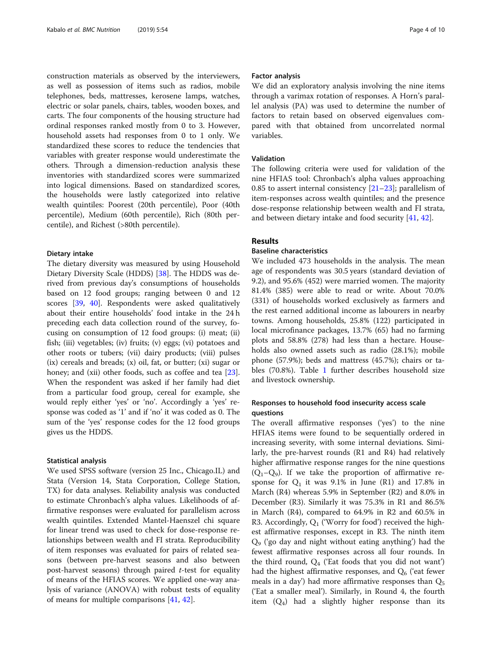construction materials as observed by the interviewers, as well as possession of items such as radios, mobile telephones, beds, mattresses, kerosene lamps, watches, electric or solar panels, chairs, tables, wooden boxes, and carts. The four components of the housing structure had ordinal responses ranked mostly from 0 to 3. However, household assets had responses from 0 to 1 only. We standardized these scores to reduce the tendencies that variables with greater response would underestimate the others. Through a dimension-reduction analysis these inventories with standardized scores were summarized into logical dimensions. Based on standardized scores, the households were lastly categorized into relative wealth quintiles: Poorest (20th percentile), Poor (40th percentile), Medium (60th percentile), Rich (80th percentile), and Richest (>80th percentile).

#### Dietary intake

The dietary diversity was measured by using Household Dietary Diversity Scale (HDDS) [[38\]](#page-9-0). The HDDS was derived from previous day's consumptions of households based on 12 food groups; ranging between 0 and 12 scores [[39,](#page-9-0) [40\]](#page-9-0). Respondents were asked qualitatively about their entire households' food intake in the 24 h preceding each data collection round of the survey, focusing on consumption of 12 food groups: (i) meat; (ii) fish; (iii) vegetables; (iv) fruits; (v) eggs; (vi) potatoes and other roots or tubers; (vii) dairy products; (viii) pulses (ix) cereals and breads; (x) oil, fat, or butter; (xi) sugar or honey; and (xii) other foods, such as coffee and tea [\[23](#page-9-0)]. When the respondent was asked if her family had diet from a particular food group, cereal for example, she would reply either 'yes' or 'no'. Accordingly a 'yes' response was coded as '1' and if 'no' it was coded as 0. The sum of the 'yes' response codes for the 12 food groups gives us the HDDS.

### Statistical analysis

We used SPSS software (version 25 Inc., Chicago.IL) and Stata (Version 14, Stata Corporation, College Station, TX) for data analyses. Reliability analysis was conducted to estimate Chronbach's alpha values. Likelihoods of affirmative responses were evaluated for parallelism across wealth quintiles. Extended Mantel-Haenszel chi square for linear trend was used to check for dose-response relationships between wealth and FI strata. Reproducibility of item responses was evaluated for pairs of related seasons (between pre-harvest seasons and also between post-harvest seasons) through paired  $t$ -test for equality of means of the HFIAS scores. We applied one-way analysis of variance (ANOVA) with robust tests of equality of means for multiple comparisons [[41,](#page-9-0) [42\]](#page-9-0).

#### Factor analysis

We did an exploratory analysis involving the nine items through a varimax rotation of responses. A Horn's parallel analysis (PA) was used to determine the number of factors to retain based on observed eigenvalues compared with that obtained from uncorrelated normal variables.

# Validation

The following criteria were used for validation of the nine HFIAS tool: Chronbach's alpha values approaching 0.85 to assert internal consistency  $[21-23]$  $[21-23]$  $[21-23]$  $[21-23]$  $[21-23]$ ; parallelism of item-responses across wealth quintiles; and the presence dose-response relationship between wealth and FI strata, and between dietary intake and food security [[41,](#page-9-0) [42\]](#page-9-0).

# Results

# Baseline characteristics

We included 473 households in the analysis. The mean age of respondents was 30.5 years (standard deviation of 9.2), and 95.6% (452) were married women. The majority 81.4% (385) were able to read or write. About 70.0% (331) of households worked exclusively as farmers and the rest earned additional income as labourers in nearby towns. Among households, 25.8% (122) participated in local microfinance packages, 13.7% (65) had no farming plots and 58.8% (278) had less than a hectare. Households also owned assets such as radio (28.1%); mobile phone (57.9%); beds and mattress (45.7%); chairs or tables (70.8%). Table [1](#page-4-0) further describes household size and livestock ownership.

# Responses to household food insecurity access scale questions

The overall affirmative responses ('yes') to the nine HFIAS items were found to be sequentially ordered in increasing severity, with some internal deviations. Similarly, the pre-harvest rounds (R1 and R4) had relatively higher affirmative response ranges for the nine questions  $(Q_1-Q_9)$ . If we take the proportion of affirmative response for  $Q_1$  it was 9.1% in June (R1) and 17.8% in March (R4) whereas 5.9% in September (R2) and 8.0% in December (R3). Similarly it was 75.3% in R1 and 86.5% in March (R4), compared to 64.9% in R2 and 60.5% in R3. Accordingly,  $Q_1$  ('Worry for food') received the highest affirmative responses, except in R3. The ninth item  $Q_9$  ('go day and night without eating anything') had the fewest affirmative responses across all four rounds. In the third round,  $Q_4$  ('Eat foods that you did not want') had the highest affirmative responses, and  $Q_6$  ('eat fewer meals in a day') had more affirmative responses than  $Q_5$ ('Eat a smaller meal'). Similarly, in Round 4, the fourth item  $(Q_4)$  had a slightly higher response than its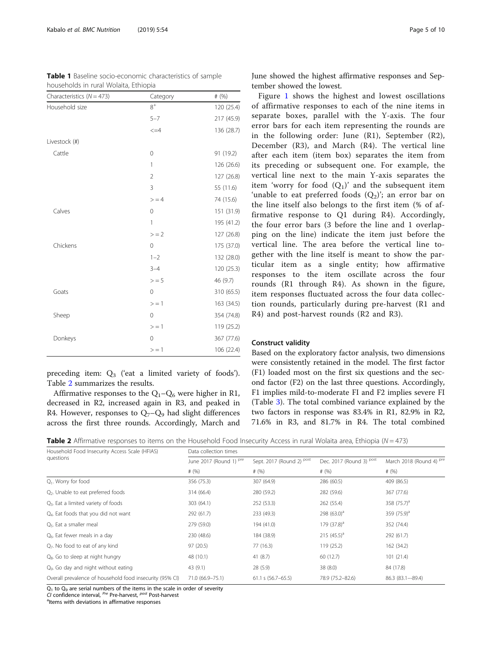households in rural Wolaita, Ethiopia

<span id="page-4-0"></span>Table 1 Baseline socio-economic characteristics of sample

| Characteristics ( $N = 473$ ) | Category       | # $(%)$    |
|-------------------------------|----------------|------------|
| Household size                | $8^+$          | 120 (25.4) |
|                               | $5 - 7$        | 217 (45.9) |
|                               | $\leq$ = 4     | 136 (28.7) |
| Livestock (#)                 |                |            |
| Cattle                        | $\mathbf 0$    | 91 (19.2)  |
|                               | $\mathbb{1}$   | 126 (26.6) |
|                               | $\overline{2}$ | 127 (26.8) |
|                               | 3              | 55 (11.6)  |
|                               | > 4            | 74 (15.6)  |
| Calves                        | $\mathbf 0$    | 151 (31.9) |
|                               | $\mathbf{1}$   | 195 (41.2) |
|                               | $> = 2$        | 127 (26.8) |
| Chickens                      | $\overline{0}$ | 175 (37.0) |
|                               | $1 - 2$        | 132 (28.0) |
|                               | $3 - 4$        | 120 (25.3) |
|                               | > 5            | 46 (9.7)   |
| Goats                         | $\mathbf 0$    | 310 (65.5) |
|                               | $> = 1$        | 163 (34.5) |
| Sheep                         | $\Omega$       | 354 (74.8) |
|                               | $> = 1$        | 119 (25.2) |
| Donkeys                       | $\mathbf 0$    | 367 (77.6) |
|                               | $> = 1$        | 106(22.4)  |

preceding item:  $Q_3$  ('eat a limited variety of foods'). Table 2 summarizes the results. Affirmative responses to the  $Q_1-Q_6$  were higher in R1,

decreased in R2, increased again in R3, and peaked in R4. However, responses to  $Q_7-Q_9$  had slight differences across the first three rounds. Accordingly, March and June showed the highest affirmative responses and September showed the lowest.

Figure [1](#page-5-0) shows the highest and lowest oscillations of affirmative responses to each of the nine items in separate boxes, parallel with the Y-axis. The four error bars for each item representing the rounds are in the following order: June (R1), September (R2), December (R3), and March (R4). The vertical line after each item (item box) separates the item from its preceding or subsequent one. For example, the vertical line next to the main Y-axis separates the item 'worry for food  $(Q_1)$ ' and the subsequent item 'unable to eat preferred foods  $(Q_2)$ '; an error bar on the line itself also belongs to the first item (% of affirmative response to Q1 during R4). Accordingly, the four error bars (3 before the line and 1 overlapping on the line) indicate the item just before the vertical line. The area before the vertical line together with the line itself is meant to show the particular item as a single entity; how affirmative responses to the item oscillate across the four rounds (R1 through R4). As shown in the figure, item responses fluctuated across the four data collection rounds, particularly during pre-harvest (R1 and R4) and post-harvest rounds (R2 and R3).

#### Construct validity

Based on the exploratory factor analysis, two dimensions were consistently retained in the model. The first factor (F1) loaded most on the first six questions and the second factor (F2) on the last three questions. Accordingly, F1 implies mild-to-moderate FI and F2 implies severe FI (Table [3](#page-5-0)). The total combined variance explained by the two factors in response was 83.4% in R1, 82.9% in R2, 71.6% in R3, and 81.7% in R4. The total combined

**Table 2** Affirmative responses to items on the Household Food Insecurity Access in rural Wolaita area, Ethiopia ( $N = 473$ )

| Household Food Insecurity Access Scale (HFIAS)           | Data collection times              |                           |                          |                                     |  |  |  |
|----------------------------------------------------------|------------------------------------|---------------------------|--------------------------|-------------------------------------|--|--|--|
| questions                                                | June 2017 (Round 1) <sup>pre</sup> | Sept. 2017 (Round 2) Post | Dec. 2017 (Round 3) Post | March 2018 (Round 4) Pre<br># $(%)$ |  |  |  |
|                                                          | # $(% )$                           | # $(% )$                  | # $(% )$                 |                                     |  |  |  |
| $Q1$ . Worry for food                                    | 356 (75.3)                         | 307 (64.9)                | 286 (60.5)               | 409 (86.5)                          |  |  |  |
| Q <sub>2</sub> . Unable to eat preferred foods           | 314 (66.4)                         | 280 (59.2)                | 282 (59.6)               | 367 (77.6)                          |  |  |  |
| $Q_3$ . Eat a limited variety of foods                   | 303 (64.1)                         | 252 (53.3)                | 262 (55.4)               | 358 $(75.7)^a$                      |  |  |  |
| $Q4$ . Eat foods that you did not want                   | 292 (61.7)                         | 233 (49.3)                | 298 $(63.0)^a$           | 359 $(75.9)^a$                      |  |  |  |
| Q <sub>5</sub> . Eat a smaller meal                      | 279 (59.0)                         | 194 (41.0)                | 179 $(37.8)^a$           | 352 (74.4)                          |  |  |  |
| Q <sub>6</sub> . Eat fewer meals in a day                | 230 (48.6)                         | 184 (38.9)                | 215 $(45.5)^a$           | 292 (61.7)                          |  |  |  |
| $Q7$ . No food to eat of any kind                        | 97 (20.5)                          | 77 (16.3)                 | 119 (25.2)               | 162 (34.2)                          |  |  |  |
| Q <sub>8</sub> . Go to sleep at night hungry             | 48 (10.1)                          | 41(8.7)                   | 60 (12.7)                | 101(21.4)                           |  |  |  |
| Q <sub>9</sub> . Go day and night without eating         | 43 (9.1)                           | 28(5.9)                   | 38 (8.0)                 | 84 (17.8)                           |  |  |  |
| Overall prevalence of household food insecurity (95% CI) | 71.0 (66.9-75.1)                   | $61.1$ s $(56.7 - 65.5)$  | 78.9 (75.2-82.6)         | 86.3 (83.1--89.4)                   |  |  |  |

 $\overline{O_1}$  to  $O_9$  are serial numbers of the items in the scale in order of severity

 $C_1$  is  $\sum y$  and confidence interval,  $P^{\text{ref}}$  Pre-harvest,  $P^{\text{ost}}$  Post-harvest

<sup>a</sup>ltems with deviations in affirmative responses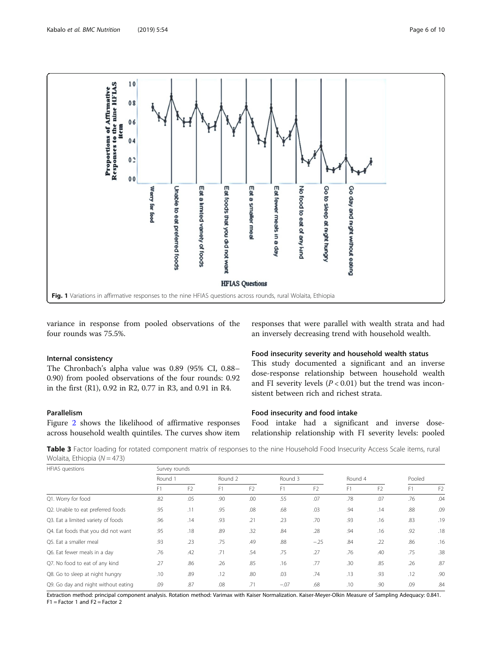<span id="page-5-0"></span>

variance in response from pooled observations of the four rounds was 75.5%.

#### Internal consistency

The Chronbach's alpha value was 0.89 (95% CI, 0.88– 0.90) from pooled observations of the four rounds: 0.92 in the first (R1), 0.92 in R2, 0.77 in R3, and 0.91 in R4.

# Parallelism

Figure [2](#page-6-0) shows the likelihood of affirmative responses across household wealth quintiles. The curves show item

responses that were parallel with wealth strata and had an inversely decreasing trend with household wealth.

# Food insecurity severity and household wealth status

This study documented a significant and an inverse dose-response relationship between household wealth and FI severity levels  $(P < 0.01)$  but the trend was inconsistent between rich and richest strata.

# Food insecurity and food intake

Food intake had a significant and inverse doserelationship relationship with FI severity levels: pooled

Table 3 Factor loading for rotated component matrix of responses to the nine Household Food Insecurity Access Scale items, rural Wolaita, Ethiopia  $(N = 473)$ 

| <b>HFIAS</b> questions              | Survey rounds |                |         |                |         |                |         |                |        |                |
|-------------------------------------|---------------|----------------|---------|----------------|---------|----------------|---------|----------------|--------|----------------|
|                                     | Round 1       |                | Round 2 |                | Round 3 |                | Round 4 |                | Pooled |                |
|                                     | F1            | F <sub>2</sub> | F1      | F <sub>2</sub> | F1      | F <sub>2</sub> | F1      | F <sub>2</sub> | F1     | F <sub>2</sub> |
| Q1. Worry for food                  | .82           | .05            | .90     | .00            | .55     | .07            | .78     | .07            | .76    | .04            |
| Q2. Unable to eat preferred foods   | .95           | .11            | .95     | .08            | .68     | .03            | .94     | .14            | .88    | .09            |
| Q3. Eat a limited variety of foods  | .96           | .14            | .93     | .21            | .23     | .70            | .93     | .16            | .83    | .19            |
| Q4. Eat foods that you did not want | .95           | .18            | .89     | .32            | .84     | .28            | .94     | .16            | .92    | .18            |
| O5. Eat a smaller meal              | .93           | .23            | .75     | .49            | .88     | $-.25$         | .84     | .22            | .86    | .16            |
| Q6. Eat fewer meals in a day        | .76           | .42            | .71     | .54            | .75     | .27            | .76     | .40            | .75    | .38            |
| Q7. No food to eat of any kind      | .27           | .86            | .26     | .85            | .16     | .77            | .30     | .85            | .26    | .87            |
| Q8. Go to sleep at night hungry     | .10           | .89            | .12     | .80            | .03     | .74            | .13     | .93            | .12    | .90            |
| Q9. Go day and night without eating | .09           | .87            | .08     | .71            | $-.07$  | .68            | .10     | .90            | .09    | .84            |

Extraction method: principal component analysis. Rotation method: Varimax with Kaiser Normalization. Kaiser-Meyer-Olkin Measure of Sampling Adequacy: 0.841. F1 = Factor 1 and F2 = Factor 2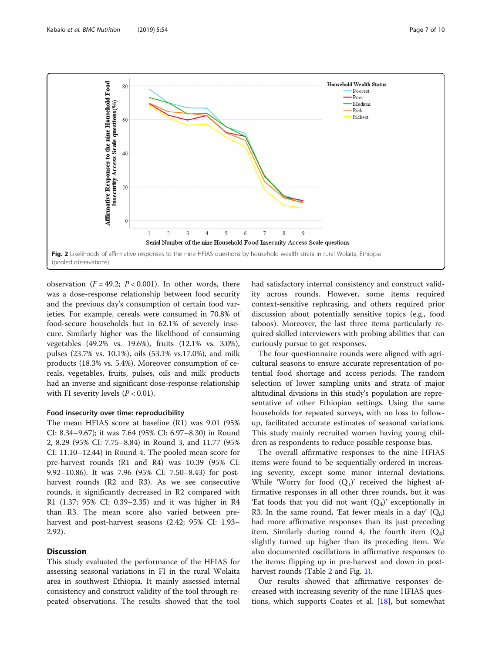<span id="page-6-0"></span>

observation ( $F = 49.2$ ;  $P < 0.001$ ). In other words, there was a dose-response relationship between food security and the previous day's consumption of certain food varieties. For example, cereals were consumed in 70.8% of food-secure households but in 62.1% of severely insecure. Similarly higher was the likelihood of consuming vegetables (49.2% vs. 19.6%), fruits (12.1% vs. 3.0%), pulses (23.7% vs. 10.1%), oils (53.1% vs.17.0%), and milk products (18.3% vs. 5.4%). Moreover consumption of cereals, vegetables, fruits, pulses, oils and milk products had an inverse and significant dose-response relationship with FI severity levels  $(P < 0.01)$ .

#### Food insecurity over time: reproducibility

The mean HFIAS score at baseline (R1) was 9.01 (95% CI: 8.34–9.67); it was 7.64 (95% CI: 6.97–8.30) in Round 2, 8.29 (95% CI: 7.75–8.84) in Round 3, and 11.77 (95% CI: 11.10–12.44) in Round 4. The pooled mean score for pre-harvest rounds (R1 and R4) was 10.39 (95% CI: 9.92–10.86). It was 7.96 (95% CI: 7.50–8.43) for postharvest rounds (R2 and R3). As we see consecutive rounds, it significantly decreased in R2 compared with R1 (1.37; 95% CI: 0.39–2.35) and it was higher in R4 than R3. The mean score also varied between preharvest and post-harvest seasons (2.42; 95% CI: 1.93– 2.92).

#### **Discussion**

This study evaluated the performance of the HFIAS for assessing seasonal variations in FI in the rural Wolaita area in southwest Ethiopia. It mainly assessed internal consistency and construct validity of the tool through repeated observations. The results showed that the tool had satisfactory internal consistency and construct validity across rounds. However, some items required context-sensitive rephrasing, and others required prior discussion about potentially sensitive topics (e.g., food taboos). Moreover, the last three items particularly required skilled interviewers with probing abilities that can curiously pursue to get responses.

The four questionnaire rounds were aligned with agricultural seasons to ensure accurate representation of potential food shortage and access periods. The random selection of lower sampling units and strata of major altitudinal divisions in this study's population are representative of other Ethiopian settings. Using the same households for repeated surveys, with no loss to followup, facilitated accurate estimates of seasonal variations. This study mainly recruited women having young children as respondents to reduce possible response bias.

The overall affirmative responses to the nine HFIAS items were found to be sequentially ordered in increasing severity, except some minor internal deviations. While 'Worry for food  $(Q_1)$ ' received the highest affirmative responses in all other three rounds, but it was 'Eat foods that you did not want  $(Q_4)$ ' exceptionally in R3. In the same round, 'Eat fewer meals in a day'  $(Q_6)$ had more affirmative responses than its just preceding item. Similarly during round 4, the fourth item  $(Q_4)$ slightly turned up higher than its preceding item. We also documented oscillations in affirmative responses to the items: flipping up in pre-harvest and down in postharvest rounds (Table [2](#page-4-0) and Fig. [1\)](#page-5-0).

Our results showed that affirmative responses decreased with increasing severity of the nine HFIAS questions, which supports Coates et al. [[18\]](#page-9-0), but somewhat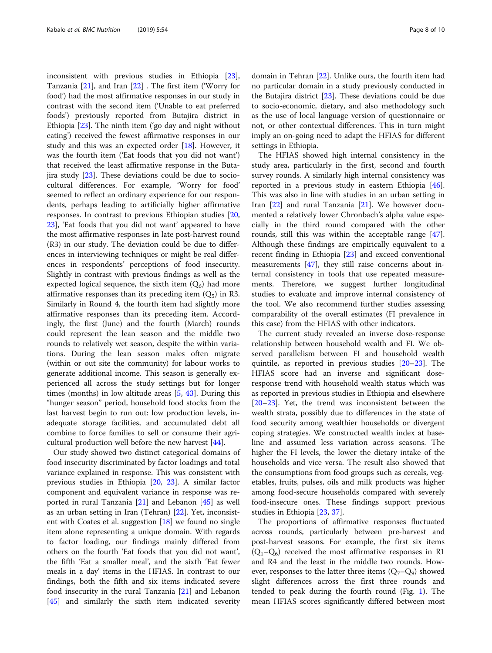inconsistent with previous studies in Ethiopia [\[23](#page-9-0)], Tanzania [[21](#page-9-0)], and Iran [[22\]](#page-9-0) . The first item ('Worry for food') had the most affirmative responses in our study in contrast with the second item ('Unable to eat preferred foods') previously reported from Butajira district in Ethiopia [[23\]](#page-9-0). The ninth item ('go day and night without eating') received the fewest affirmative responses in our study and this was an expected order  $[18]$  $[18]$ . However, it was the fourth item ('Eat foods that you did not want') that received the least affirmative response in the Butajira study [[23](#page-9-0)]. These deviations could be due to sociocultural differences. For example, 'Worry for food' seemed to reflect an ordinary experience for our respondents, perhaps leading to artificially higher affirmative responses. In contrast to previous Ethiopian studies [[20](#page-9-0), [23\]](#page-9-0), 'Eat foods that you did not want' appeared to have the most affirmative responses in late post-harvest round (R3) in our study. The deviation could be due to differences in interviewing techniques or might be real differences in respondents' perceptions of food insecurity. Slightly in contrast with previous findings as well as the expected logical sequence, the sixth item  $(Q_6)$  had more affirmative responses than its preceding item  $(Q_5)$  in R3. Similarly in Round 4, the fourth item had slightly more affirmative responses than its preceding item. Accordingly, the first (June) and the fourth (March) rounds could represent the lean season and the middle two rounds to relatively wet season, despite the within variations. During the lean season males often migrate (within or out site the community) for labour works to generate additional income. This season is generally experienced all across the study settings but for longer times (months) in low altitude areas  $[5, 43]$  $[5, 43]$  $[5, 43]$ . During this "hunger season" period, household food stocks from the last harvest begin to run out: low production levels, inadequate storage facilities, and accumulated debt all combine to force families to sell or consume their agricultural production well before the new harvest [[44\]](#page-9-0).

Our study showed two distinct categorical domains of food insecurity discriminated by factor loadings and total variance explained in response. This was consistent with previous studies in Ethiopia [[20,](#page-9-0) [23\]](#page-9-0). A similar factor component and equivalent variance in response was reported in rural Tanzania  $[21]$  and Lebanon  $[45]$  $[45]$  as well as an urban setting in Iran (Tehran) [\[22\]](#page-9-0). Yet, inconsistent with Coates et al. suggestion [\[18](#page-9-0)] we found no single item alone representing a unique domain. With regards to factor loading, our findings mainly differed from others on the fourth 'Eat foods that you did not want', the fifth 'Eat a smaller meal', and the sixth 'Eat fewer meals in a day' items in the HFIAS. In contrast to our findings, both the fifth and six items indicated severe food insecurity in the rural Tanzania [\[21](#page-9-0)] and Lebanon [[45\]](#page-9-0) and similarly the sixth item indicated severity domain in Tehran [[22\]](#page-9-0). Unlike ours, the fourth item had no particular domain in a study previously conducted in the Butajira district  $[23]$  $[23]$ . These deviations could be due to socio-economic, dietary, and also methodology such as the use of local language version of questionnaire or not, or other contextual differences. This in turn might imply an on-going need to adapt the HFIAS for different settings in Ethiopia.

The HFIAS showed high internal consistency in the study area, particularly in the first, second and fourth survey rounds. A similarly high internal consistency was reported in a previous study in eastern Ethiopia [\[46](#page-9-0)]. This was also in line with studies in an urban setting in Iran [\[22](#page-9-0)] and rural Tanzania [[21\]](#page-9-0). We however documented a relatively lower Chronbach's alpha value especially in the third round compared with the other rounds, still this was within the acceptable range [\[47](#page-9-0)]. Although these findings are empirically equivalent to a recent finding in Ethiopia [\[23\]](#page-9-0) and exceed conventional measurements [[47\]](#page-9-0), they still raise concerns about internal consistency in tools that use repeated measurements. Therefore, we suggest further longitudinal studies to evaluate and improve internal consistency of the tool. We also recommend further studies assessing comparability of the overall estimates (FI prevalence in this case) from the HFIAS with other indicators.

The current study revealed an inverse dose-response relationship between household wealth and FI. We observed parallelism between FI and household wealth quintile, as reported in previous studies [\[20](#page-9-0)–[23\]](#page-9-0). The HFIAS score had an inverse and significant doseresponse trend with household wealth status which was as reported in previous studies in Ethiopia and elsewhere [[20](#page-9-0)–[23](#page-9-0)]. Yet, the trend was inconsistent between the wealth strata, possibly due to differences in the state of food security among wealthier households or divergent coping strategies. We constructed wealth index at baseline and assumed less variation across seasons. The higher the FI levels, the lower the dietary intake of the households and vice versa. The result also showed that the consumptions from food groups such as cereals, vegetables, fruits, pulses, oils and milk products was higher among food-secure households compared with severely food-insecure ones. These findings support previous studies in Ethiopia [[23,](#page-9-0) [37](#page-9-0)].

The proportions of affirmative responses fluctuated across rounds, particularly between pre-harvest and post-harvest seasons. For example, the first six items  $(Q_1-Q_6)$  received the most affirmative responses in R1 and R4 and the least in the middle two rounds. However, responses to the latter three items  $(Q_7-Q_9)$  showed slight differences across the first three rounds and tended to peak during the fourth round (Fig. [1](#page-5-0)). The mean HFIAS scores significantly differed between most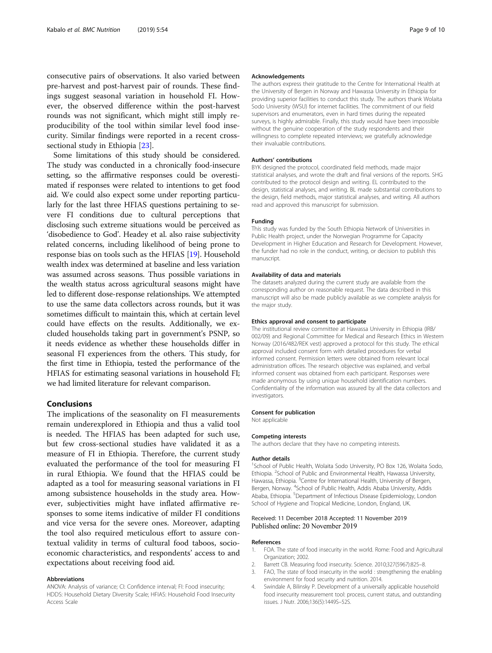<span id="page-8-0"></span>consecutive pairs of observations. It also varied between pre-harvest and post-harvest pair of rounds. These findings suggest seasonal variation in household FI. However, the observed difference within the post-harvest rounds was not significant, which might still imply reproducibility of the tool within similar level food insecurity. Similar findings were reported in a recent crosssectional study in Ethiopia [\[23\]](#page-9-0).

Some limitations of this study should be considered. The study was conducted in a chronically food-insecure setting, so the affirmative responses could be overestimated if responses were related to intentions to get food aid. We could also expect some under reporting particularly for the last three HFIAS questions pertaining to severe FI conditions due to cultural perceptions that disclosing such extreme situations would be perceived as 'disobedience to God'. Headey et al. also raise subjectivity related concerns, including likelihood of being prone to response bias on tools such as the HFIAS [\[19\]](#page-9-0). Household wealth index was determined at baseline and less variation was assumed across seasons. Thus possible variations in the wealth status across agricultural seasons might have led to different dose-response relationships. We attempted to use the same data collectors across rounds, but it was sometimes difficult to maintain this, which at certain level could have effects on the results. Additionally, we excluded households taking part in government's PSNP, so it needs evidence as whether these households differ in seasonal FI experiences from the others. This study, for the first time in Ethiopia, tested the performance of the HFIAS for estimating seasonal variations in household FI; we had limited literature for relevant comparison.

# Conclusions

The implications of the seasonality on FI measurements remain underexplored in Ethiopia and thus a valid tool is needed. The HFIAS has been adapted for such use, but few cross-sectional studies have validated it as a measure of FI in Ethiopia. Therefore, the current study evaluated the performance of the tool for measuring FI in rural Ethiopia. We found that the HFIAS could be adapted as a tool for measuring seasonal variations in FI among subsistence households in the study area. However, subjectivities might have inflated affirmative responses to some items indicative of milder FI conditions and vice versa for the severe ones. Moreover, adapting the tool also required meticulous effort to assure contextual validity in terms of cultural food taboos, socioeconomic characteristics, and respondents' access to and expectations about receiving food aid.

#### Abbreviations

ANOVA: Analysis of variance; CI: Confidence interval; FI: Food insecurity; HDDS: Household Dietary Diversity Scale; HFIAS: Household Food Insecurity Access Scale

#### Acknowledgements

The authors express their gratitude to the Centre for International Health at the University of Bergen in Norway and Hawassa University in Ethiopia for providing superior facilities to conduct this study. The authors thank Wolaita Sodo University (WSU) for internet facilities. The commitment of our field supervisors and enumerators, even in hard times during the repeated surveys, is highly admirable. Finally, this study would have been impossible without the genuine cooperation of the study respondents and their willingness to complete repeated interviews; we gratefully acknowledge their invaluable contributions.

#### Authors' contributions

BYK designed the protocol, coordinated field methods, made major statistical analyses, and wrote the draft and final versions of the reports. SHG contributed to the protocol design and writing. EL contributed to the design, statistical analyses, and writing. BL made substantial contributions to the design, field methods, major statistical analyses, and writing. All authors read and approved this manuscript for submission.

#### Funding

This study was funded by the South Ethiopia Network of Universities in Public Health project, under the Norwegian Programme for Capacity Development in Higher Education and Research for Development. However, the funder had no role in the conduct, writing, or decision to publish this manuscript.

#### Availability of data and materials

The datasets analyzed during the current study are available from the corresponding author on reasonable request. The data described in this manuscript will also be made publicly available as we complete analysis for the major study.

#### Ethics approval and consent to participate

The institutional review committee at Hawassa University in Ethiopia (IRB/ 002/09) and Regional Committee for Medical and Research Ethics in Western Norway (2016/482/REK vest) approved a protocol for this study. The ethical approval included consent form with detailed procedures for verbal informed consent. Permission letters were obtained from relevant local administration offices. The research objective was explained, and verbal informed consent was obtained from each participant. Responses were made anonymous by using unique household identification numbers. Confidentiality of the information was assured by all the data collectors and investigators.

#### Consent for publication

Not applicable

#### Competing interests

The authors declare that they have no competing interests.

#### Author details

<sup>1</sup>School of Public Health, Wolaita Sodo University, PO Box 126, Wolaita Sodo, Ethiopia. <sup>2</sup> School of Public and Environmental Health, Hawassa University Hawassa, Ethiopia. <sup>3</sup>Centre for International Health, University of Bergen, Bergen, Norway. <sup>4</sup>School of Public Health, Addis Ababa University, Addis Ababa, Ethiopia. <sup>5</sup>Department of Infectious Disease Epidemiology, London School of Hygiene and Tropical Medicine, London, England, UK.

#### Received: 11 December 2018 Accepted: 11 November 2019 Published online: 20 November 2019

#### References

- 1. FOA. The state of food insecurity in the world. Rome: Food and Agricultural Organization; 2002.
- 2. Barrett CB. Measuring food insecurity. Science. 2010;327(5967):825–8.
- FAO, The state of food insecurity in the world : strengthening the enabling environment for food security and nutrition. 2014.
- 4. Swindale A, Bilinsky P. Development of a universally applicable household food insecurity measurement tool: process, current status, and outstanding issues. J Nutr. 2006;136(5):1449S–52S.